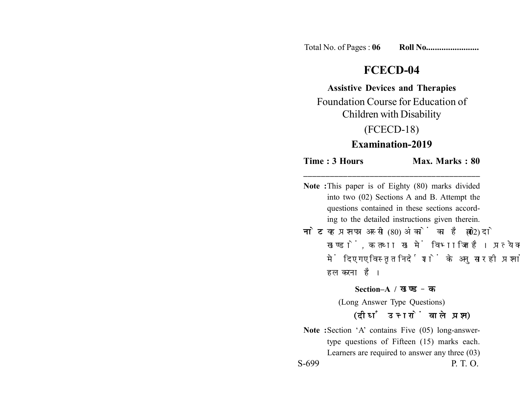Total No. of Pages : **06 Roll No........................**

# **FCECD-04**

### **Assistive Devices and Therapies**

Foundation Course for Education of Children with Disability

## (FCECD-18)

## **Examination-2019**

**Time : 3 Hours Max. Marks : 80** 

**Note :**This paper is of Eighty (80) marks divided into two (02) Sections A and B. Attempt the questions contained in these sections according to the detailed instructions given therein.

**\_\_\_\_\_\_\_\_\_\_\_\_\_\_\_\_\_\_\_\_\_\_\_\_\_\_\_\_\_\_\_\_\_\_\_\_\_\_\_\_**

**नोट:** यह प्रश्नपत्र अस्सी (80) अंकों का है जो दो (02) खण्डों, क तथा ख में विभाजित है। प्रत्येक खण्ड में दिए गए विस्तृत निर्देशों के अनुसार ही प्रश्नों को हल करना है।

#### **Section–A /**

(Long Answer Type Questions) (दीर्घ उत्तरों वाले प्रश्न)

**Note :**Section 'A' contains Five (05) long-answertype questions of Fifteen (15) marks each. Learners are required to answer any three (03) S-699 P. T. O.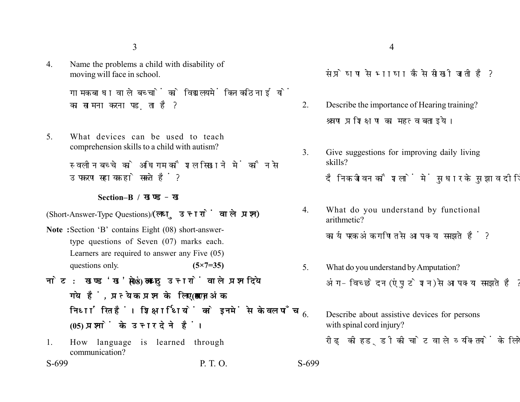3

4. Name the problems a child with disability of moving will face in school.

> गामक बाधा वाले बच्चों को विद्यालय में किन कठिनाईयों का सामना करना पडता है?

5. What devices can be used to teach comprehension skills to a child with autism?

> स्वलीन बच्चे को अधिगम कौशल सिखाने में कौन से उपकरण सहायक हो सकते हैं?

> > **Section–B /**

(Short-Answer-Type Questions) (लघ उत्तरों वाले प्रश्न)

- **Note :**Section 'B' contains Eight (08) short-answertype questions of Seven (07) marks each. Learners are required to answer any Five (05) questions only. **(5×7=35)**
- नोट: खण्ड'ख' में आठ (08) लघु उत्तरों वाले प्रश्न दिये गये हैं, प्रत्येक प्रश्न के लिए सात (07) अंक निर्धारित हैं। शिक्षार्थियों को इनमें से केवल पाँच **(05) प्रश्नों के उत्तर देने हैं।**
- 1. How language is learned through communication?

S-699 P. T. O. S-699

संप्रेषण से भाषा कैसे सीखी जाती है?

- 2. Describe the importance of Hearing training? श्रवण प्रशिक्षण का महत्व बताइये।
- 3. Give suggestions for improving daily living skills? दैनिक जीवन कौशलों में सधार के सझाव दीजिये।
- 4. What do you understand by functional arithmetic?

कार्यपरक अंक गणित से आप क्या समझते हैं ?

- 5. What do you understand by Amputation? अंग-विच्छेदन (एंपुटेशन) से आप क्या समझते है ?
- 6. Describe about assistive devices for persons with spinal cord injury? रीढ़ की हड़्डी की चोट वाले व्यक्तियों के लिये सहायक